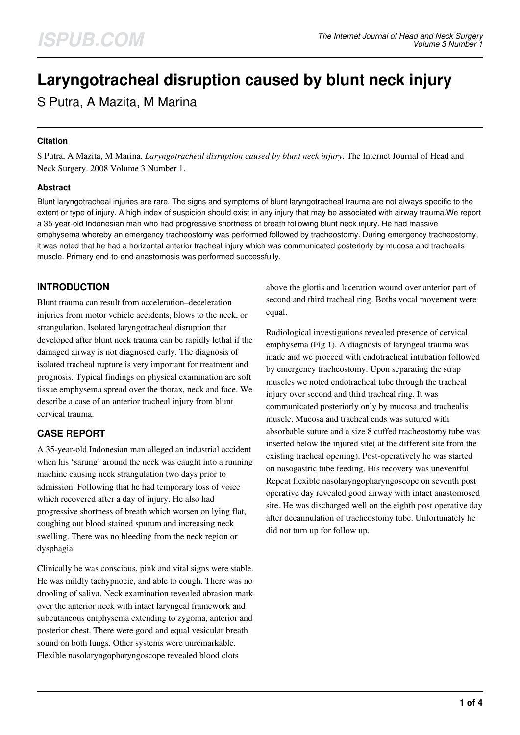# **Laryngotracheal disruption caused by blunt neck injury**

S Putra, A Mazita, M Marina

## **Citation**

S Putra, A Mazita, M Marina. *Laryngotracheal disruption caused by blunt neck injury*. The Internet Journal of Head and Neck Surgery. 2008 Volume 3 Number 1.

## **Abstract**

Blunt laryngotracheal injuries are rare. The signs and symptoms of blunt laryngotracheal trauma are not always specific to the extent or type of injury. A high index of suspicion should exist in any injury that may be associated with airway trauma.We report a 35-year-old Indonesian man who had progressive shortness of breath following blunt neck injury. He had massive emphysema whereby an emergency tracheostomy was performed followed by tracheostomy. During emergency tracheostomy, it was noted that he had a horizontal anterior tracheal injury which was communicated posteriorly by mucosa and trachealis muscle. Primary end-to-end anastomosis was performed successfully.

## **INTRODUCTION**

Blunt trauma can result from acceleration–deceleration injuries from motor vehicle accidents, blows to the neck, or strangulation. Isolated laryngotracheal disruption that developed after blunt neck trauma can be rapidly lethal if the damaged airway is not diagnosed early. The diagnosis of isolated tracheal rupture is very important for treatment and prognosis. Typical findings on physical examination are soft tissue emphysema spread over the thorax, neck and face. We describe a case of an anterior tracheal injury from blunt cervical trauma.

## **CASE REPORT**

A 35-year-old Indonesian man alleged an industrial accident when his 'sarung' around the neck was caught into a running machine causing neck strangulation two days prior to admission. Following that he had temporary loss of voice which recovered after a day of injury. He also had progressive shortness of breath which worsen on lying flat, coughing out blood stained sputum and increasing neck swelling. There was no bleeding from the neck region or dysphagia.

Clinically he was conscious, pink and vital signs were stable. He was mildly tachypnoeic, and able to cough. There was no drooling of saliva. Neck examination revealed abrasion mark over the anterior neck with intact laryngeal framework and subcutaneous emphysema extending to zygoma, anterior and posterior chest. There were good and equal vesicular breath sound on both lungs. Other systems were unremarkable. Flexible nasolaryngopharyngoscope revealed blood clots

above the glottis and laceration wound over anterior part of second and third tracheal ring. Boths vocal movement were equal.

Radiological investigations revealed presence of cervical emphysema (Fig 1). A diagnosis of laryngeal trauma was made and we proceed with endotracheal intubation followed by emergency tracheostomy. Upon separating the strap muscles we noted endotracheal tube through the tracheal injury over second and third tracheal ring. It was communicated posteriorly only by mucosa and trachealis muscle. Mucosa and tracheal ends was sutured with absorbable suture and a size 8 cuffed tracheostomy tube was inserted below the injured site( at the different site from the existing tracheal opening). Post-operatively he was started on nasogastric tube feeding. His recovery was uneventful. Repeat flexible nasolaryngopharyngoscope on seventh post operative day revealed good airway with intact anastomosed site. He was discharged well on the eighth post operative day after decannulation of tracheostomy tube. Unfortunately he did not turn up for follow up.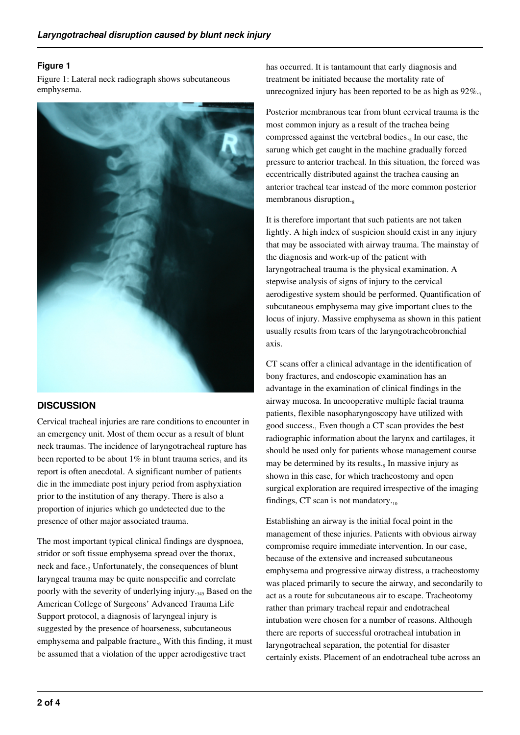## **Figure 1**

Figure 1: Lateral neck radiograph shows subcutaneous emphysema.



## **DISCUSSION**

Cervical tracheal injuries are rare conditions to encounter in an emergency unit. Most of them occur as a result of blunt neck traumas. The incidence of laryngotracheal rupture has been reported to be about  $1\%$  in blunt trauma series, and its report is often anecdotal. A significant number of patients die in the immediate post injury period from asphyxiation prior to the institution of any therapy. There is also a proportion of injuries which go undetected due to the presence of other major associated trauma.

The most important typical clinical findings are dyspnoea, stridor or soft tissue emphysema spread over the thorax, neck and face.<sub>2</sub> Unfortunately, the consequences of blunt laryngeal trauma may be quite nonspecific and correlate poorly with the severity of underlying injury.<sub>345</sub> Based on the American College of Surgeons' Advanced Trauma Life Support protocol, a diagnosis of laryngeal injury is suggested by the presence of hoarseness, subcutaneous emphysema and palpable fracture.<sub>6</sub> With this finding, it must be assumed that a violation of the upper aerodigestive tract

has occurred. It is tantamount that early diagnosis and treatment be initiated because the mortality rate of unrecognized injury has been reported to be as high as  $92\%$ .

Posterior membranous tear from blunt cervical trauma is the most common injury as a result of the trachea being compressed against the vertebral bodies.<sub>8</sub> In our case, the sarung which get caught in the machine gradually forced pressure to anterior tracheal. In this situation, the forced was eccentrically distributed against the trachea causing an anterior tracheal tear instead of the more common posterior membranous disruption.<sub>8</sub>

It is therefore important that such patients are not taken lightly. A high index of suspicion should exist in any injury that may be associated with airway trauma. The mainstay of the diagnosis and work-up of the patient with laryngotracheal trauma is the physical examination. A stepwise analysis of signs of injury to the cervical aerodigestive system should be performed. Quantification of subcutaneous emphysema may give important clues to the locus of injury. Massive emphysema as shown in this patient usually results from tears of the laryngotracheobronchial axis.

CT scans offer a clinical advantage in the identification of bony fractures, and endoscopic examination has an advantage in the examination of clinical findings in the airway mucosa. In uncooperative multiple facial trauma patients, flexible nasopharyngoscopy have utilized with good success.<sub>1</sub> Even though a CT scan provides the best radiographic information about the larynx and cartilages, it should be used only for patients whose management course may be determined by its results. $_9$  In massive injury as shown in this case, for which tracheostomy and open surgical exploration are required irrespective of the imaging findings, CT scan is not mandatory. $_{10}$ 

Establishing an airway is the initial focal point in the management of these injuries. Patients with obvious airway compromise require immediate intervention. In our case, because of the extensive and increased subcutaneous emphysema and progressive airway distress, a tracheostomy was placed primarily to secure the airway, and secondarily to act as a route for subcutaneous air to escape. Tracheotomy rather than primary tracheal repair and endotracheal intubation were chosen for a number of reasons. Although there are reports of successful orotracheal intubation in laryngotracheal separation, the potential for disaster certainly exists. Placement of an endotracheal tube across an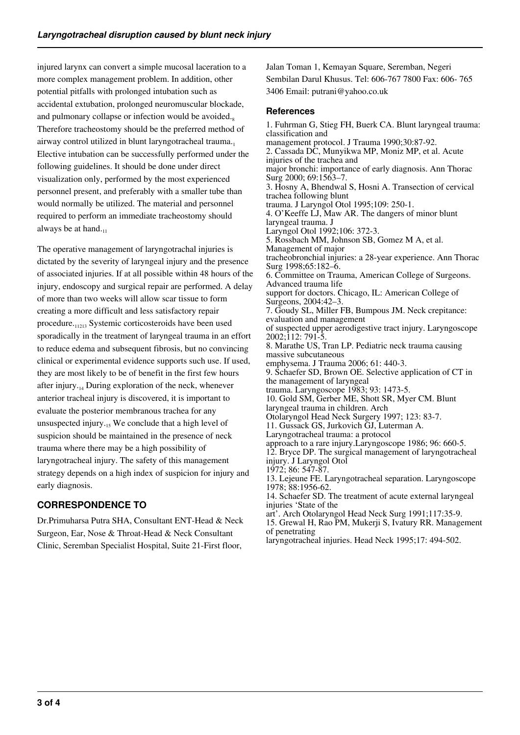injured larynx can convert a simple mucosal laceration to a more complex management problem. In addition, other potential pitfalls with prolonged intubation such as accidental extubation, prolonged neuromuscular blockade, and pulmonary collapse or infection would be avoided. $s$ Therefore tracheostomy should be the preferred method of airway control utilized in blunt laryngotracheal trauma. Elective intubation can be successfully performed under the following guidelines. It should be done under direct visualization only, performed by the most experienced personnel present, and preferably with a smaller tube than would normally be utilized. The material and personnel required to perform an immediate tracheostomy should always be at hand. $_{11}$ 

The operative management of laryngotrachal injuries is dictated by the severity of laryngeal injury and the presence of associated injuries. If at all possible within 48 hours of the injury, endoscopy and surgical repair are performed. A delay of more than two weeks will allow scar tissue to form creating a more difficult and less satisfactory repair procedure.<sub>11213</sub> Systemic corticosteroids have been used sporadically in the treatment of laryngeal trauma in an effort to reduce edema and subsequent fibrosis, but no convincing clinical or experimental evidence supports such use. If used, they are most likely to be of benefit in the first few hours after injury. $_{14}$  During exploration of the neck, whenever anterior tracheal injury is discovered, it is important to evaluate the posterior membranous trachea for any unsuspected injury. $_{15}$  We conclude that a high level of suspicion should be maintained in the presence of neck trauma where there may be a high possibility of laryngotracheal injury. The safety of this management strategy depends on a high index of suspicion for injury and early diagnosis.

## **CORRESPONDENCE TO**

Dr.Primuharsa Putra SHA, Consultant ENT-Head & Neck Surgeon, Ear, Nose & Throat-Head & Neck Consultant Clinic, Seremban Specialist Hospital, Suite 21-First floor,

Jalan Toman 1, Kemayan Square, Seremban, Negeri Sembilan Darul Khusus. Tel: 606-767 7800 Fax: 606- 765 3406 Email: putrani@yahoo.co.uk

## **References**

1. Fuhrman G, Stieg FH, Buerk CA. Blunt laryngeal trauma: classification and management protocol. J Trauma 1990;30:87-92. 2. Cassada DC, Munyikwa MP, Moniz MP, et al. Acute injuries of the trachea and major bronchi: importance of early diagnosis. Ann Thorac Surg 2000; 69:1563–7. 3. Hosny A, Bhendwal S, Hosni A. Transection of cervical trachea following blunt trauma. J Laryngol Otol 1995;109: 250-1. 4. O'Keeffe LJ, Maw AR. The dangers of minor blunt laryngeal trauma. J Laryngol Otol 1992;106: 372-3. 5. Rossbach MM, Johnson SB, Gomez M A, et al. Management of major tracheobronchial injuries: a 28-year experience. Ann Thorac Surg 1998;65:182–6. 6. Committee on Trauma, American College of Surgeons. Advanced trauma life support for doctors. Chicago, IL: American College of Surgeons, 2004:42–3. 7. Goudy SL, Miller FB, Bumpous JM. Neck crepitance: evaluation and management of suspected upper aerodigestive tract injury. Laryngoscope 2002;112: 791-5. 8. Marathe US, Tran LP. Pediatric neck trauma causing massive subcutaneous emphysema. J Trauma 2006; 61: 440-3. 9. Schaefer SD, Brown OE. Selective application of CT in the management of laryngeal trauma. Laryngoscope 1983; 93: 1473-5. 10. Gold SM, Gerber ME, Shott SR, Myer CM. Blunt laryngeal trauma in children. Arch Otolaryngol Head Neck Surgery 1997; 123: 83-7. 11. Gussack GS, Jurkovich GJ, Luterman A. Laryngotracheal trauma: a protocol approach to a rare injury.Laryngoscope 1986; 96: 660-5. 12. Bryce DP. The surgical management of laryngotracheal injury. J Laryngol Otol 1972; 86: 547-87. 13. Lejeune FE. Laryngotracheal separation. Laryngoscope 1978; 88:1956-62. 14. Schaefer SD. The treatment of acute external laryngeal injuries 'State of the art'. Arch Otolaryngol Head Neck Surg 1991;117:35-9. 15. Grewal H, Rao PM, Mukerji S, Ivatury RR. Management of penetrating

laryngotracheal injuries. Head Neck 1995;17: 494-502.